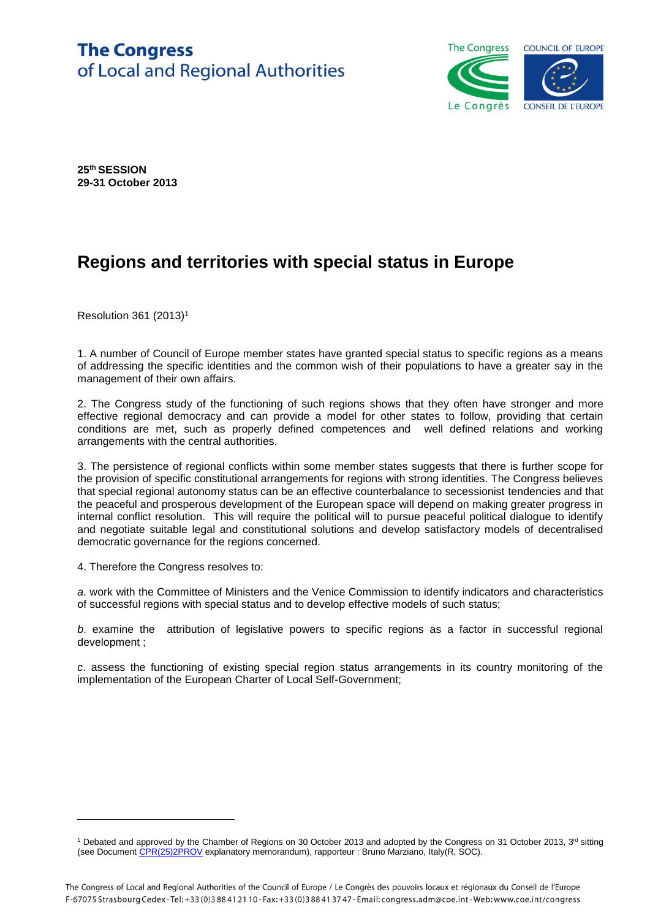## **The Congress** of Local and Regional Authorities



**25th SESSION 29-31 October 2013**

## **Regions and territories with special status in Europe**

Resolution 361 (2013)<sup>1</sup>

1. A number of Council of Europe member states have granted special status to specific regions as a means of addressing the specific identities and the common wish of their populations to have a greater say in the management of their own affairs.

2. The Congress study of the functioning of such regions shows that they often have stronger and more effective regional democracy and can provide a model for other states to follow, providing that certain conditions are met, such as properly defined competences and well defined relations and working arrangements with the central authorities.

3. The persistence of regional conflicts within some member states suggests that there is further scope for the provision of specific constitutional arrangements for regions with strong identities. The Congress believes that special regional autonomy status can be an effective counterbalance to secessionist tendencies and that the peaceful and prosperous development of the European space will depend on making greater progress in internal conflict resolution. This will require the political will to pursue peaceful political dialogue to identify and negotiate suitable legal and constitutional solutions and develop satisfactory models of decentralised democratic governance for the regions concerned.

4. Therefore the Congress resolves to:

l

*a*. work with the Committee of Ministers and the Venice Commission to identify indicators and characteristics of successful regions with special status and to develop effective models of such status;

*b*. examine the attribution of legislative powers to specific regions as a factor in successful regional development ;

*c*. assess the functioning of existing special region status arrangements in its country monitoring of the implementation of the European Charter of Local Self-Government;

<sup>&</sup>lt;sup>1</sup> Debated and approved by the Chamber of Regions on 30 October 2013 and adopted by the Congress on 31 October 2013, 3<sup>rd</sup> sitting (see Documen[t CPR\(25\)2PROV](https://wcd.coe.int/ViewDoc.jsp?Ref=CPR(25)2PROV&Language=lanEnglish&Ver=original&Site=COE&BackColorInternet=C3C3C3&BackColorIntranet=CACC9A&BackColorLogged=EFEA9C) explanatory memorandum), rapporteur : Bruno Marziano, Italy(R, SOC).